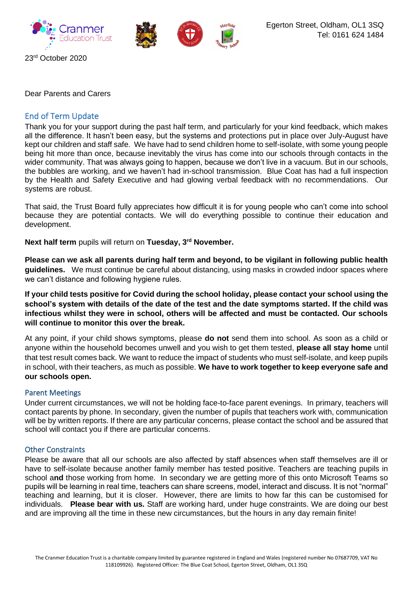

Dear Parents and Carers

# End of Term Update

Thank you for your support during the past half term, and particularly for your kind feedback, which makes all the difference. It hasn't been easy, but the systems and protections put in place over July-August have kept our children and staff safe. We have had to send children home to self-isolate, with some young people being hit more than once, because inevitably the virus has come into our schools through contacts in the wider community. That was always going to happen, because we don't live in a vacuum. But in our schools, the bubbles are working, and we haven't had in-school transmission. Blue Coat has had a full inspection by the Health and Safety Executive and had glowing verbal feedback with no recommendations. Our systems are robust.

That said, the Trust Board fully appreciates how difficult it is for young people who can't come into school because they are potential contacts. We will do everything possible to continue their education and development.

**Next half term** pupils will return on **Tuesday, 3rd November.** 

**Please can we ask all parents during half term and beyond, to be vigilant in following public health guidelines.** We must continue be careful about distancing, using masks in crowded indoor spaces where we can't distance and following hygiene rules.

**If your child tests positive for Covid during the school holiday, please contact your school using the school's system with details of the date of the test and the date symptoms started. If the child was infectious whilst they were in school, others will be affected and must be contacted. Our schools will continue to monitor this over the break.**

At any point, if your child shows symptoms, please **do not** send them into school. As soon as a child or anyone within the household becomes unwell and you wish to get them tested, **please all stay home** until that test result comes back. We want to reduce the impact of students who must self-isolate, and keep pupils in school, with their teachers, as much as possible. **We have to work together to keep everyone safe and our schools open.**

### Parent Meetings

Under current circumstances, we will not be holding face-to-face parent evenings. In primary, teachers will contact parents by phone. In secondary, given the number of pupils that teachers work with, communication will be by written reports. If there are any particular concerns, please contact the school and be assured that school will contact you if there are particular concerns.

### Other Constraints

Please be aware that all our schools are also affected by staff absences when staff themselves are ill or have to self-isolate because another family member has tested positive. Teachers are teaching pupils in school a**nd** those working from home. In secondary we are getting more of this onto Microsoft Teams so pupils will be learning in real time, teachers can share screens, model, interact and discuss. It is not "normal" teaching and learning, but it is closer. However, there are limits to how far this can be customised for individuals. **Please bear with us.** Staff are working hard, under huge constraints. We are doing our best and are improving all the time in these new circumstances, but the hours in any day remain finite!